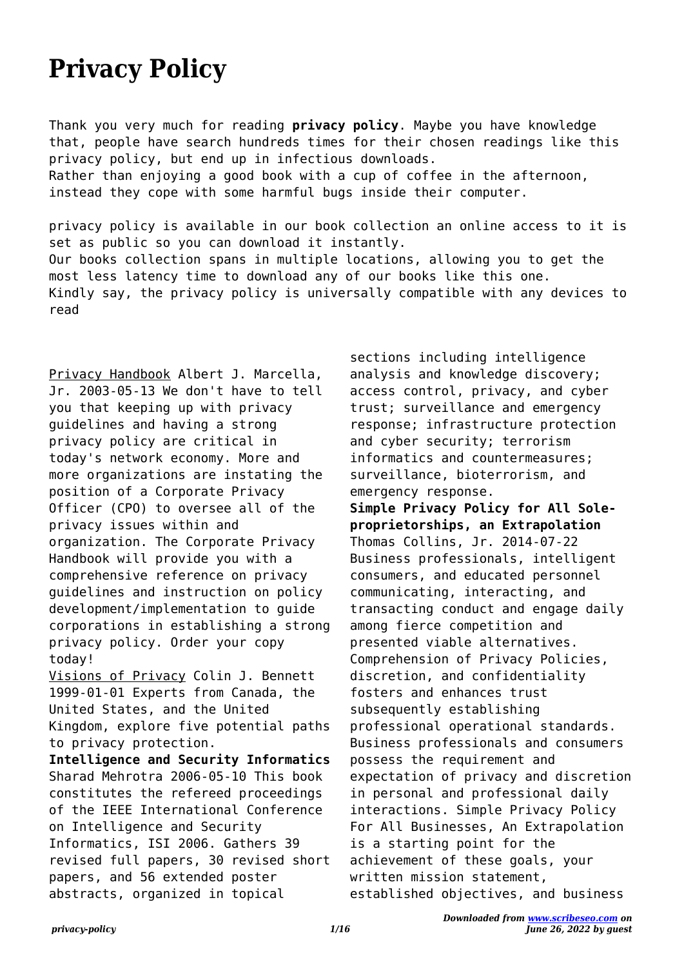## **Privacy Policy**

Thank you very much for reading **privacy policy**. Maybe you have knowledge that, people have search hundreds times for their chosen readings like this privacy policy, but end up in infectious downloads. Rather than enjoying a good book with a cup of coffee in the afternoon, instead they cope with some harmful bugs inside their computer.

privacy policy is available in our book collection an online access to it is set as public so you can download it instantly. Our books collection spans in multiple locations, allowing you to get the most less latency time to download any of our books like this one. Kindly say, the privacy policy is universally compatible with any devices to read

Privacy Handbook Albert J. Marcella, Jr. 2003-05-13 We don't have to tell you that keeping up with privacy guidelines and having a strong privacy policy are critical in today's network economy. More and more organizations are instating the position of a Corporate Privacy Officer (CPO) to oversee all of the privacy issues within and organization. The Corporate Privacy Handbook will provide you with a comprehensive reference on privacy guidelines and instruction on policy development/implementation to guide corporations in establishing a strong privacy policy. Order your copy today!

Visions of Privacy Colin J. Bennett 1999-01-01 Experts from Canada, the United States, and the United Kingdom, explore five potential paths to privacy protection.

**Intelligence and Security Informatics** Sharad Mehrotra 2006-05-10 This book constitutes the refereed proceedings of the IEEE International Conference on Intelligence and Security Informatics, ISI 2006. Gathers 39 revised full papers, 30 revised short papers, and 56 extended poster abstracts, organized in topical

sections including intelligence analysis and knowledge discovery; access control, privacy, and cyber trust; surveillance and emergency response; infrastructure protection and cyber security; terrorism informatics and countermeasures; surveillance, bioterrorism, and emergency response. **Simple Privacy Policy for All Soleproprietorships, an Extrapolation** Thomas Collins, Jr. 2014-07-22 Business professionals, intelligent consumers, and educated personnel communicating, interacting, and transacting conduct and engage daily among fierce competition and presented viable alternatives. Comprehension of Privacy Policies, discretion, and confidentiality fosters and enhances trust subsequently establishing professional operational standards. Business professionals and consumers possess the requirement and expectation of privacy and discretion in personal and professional daily interactions. Simple Privacy Policy For All Businesses, An Extrapolation is a starting point for the achievement of these goals, your written mission statement, established objectives, and business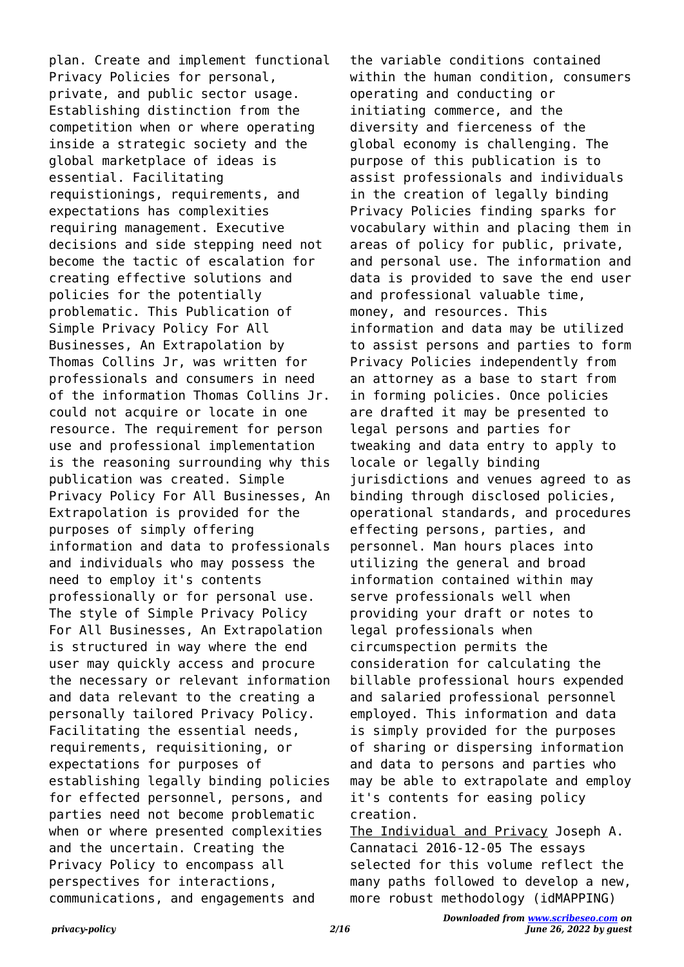plan. Create and implement functional Privacy Policies for personal, private, and public sector usage. Establishing distinction from the competition when or where operating inside a strategic society and the global marketplace of ideas is essential. Facilitating requistionings, requirements, and expectations has complexities requiring management. Executive decisions and side stepping need not become the tactic of escalation for creating effective solutions and policies for the potentially problematic. This Publication of Simple Privacy Policy For All Businesses, An Extrapolation by Thomas Collins Jr, was written for professionals and consumers in need of the information Thomas Collins Jr. could not acquire or locate in one resource. The requirement for person use and professional implementation is the reasoning surrounding why this publication was created. Simple Privacy Policy For All Businesses, An Extrapolation is provided for the purposes of simply offering information and data to professionals and individuals who may possess the need to employ it's contents professionally or for personal use. The style of Simple Privacy Policy For All Businesses, An Extrapolation is structured in way where the end user may quickly access and procure the necessary or relevant information and data relevant to the creating a personally tailored Privacy Policy. Facilitating the essential needs, requirements, requisitioning, or expectations for purposes of establishing legally binding policies for effected personnel, persons, and parties need not become problematic when or where presented complexities and the uncertain. Creating the Privacy Policy to encompass all perspectives for interactions, communications, and engagements and

the variable conditions contained within the human condition, consumers operating and conducting or initiating commerce, and the diversity and fierceness of the global economy is challenging. The purpose of this publication is to assist professionals and individuals in the creation of legally binding Privacy Policies finding sparks for vocabulary within and placing them in areas of policy for public, private, and personal use. The information and data is provided to save the end user and professional valuable time, money, and resources. This information and data may be utilized to assist persons and parties to form Privacy Policies independently from an attorney as a base to start from in forming policies. Once policies are drafted it may be presented to legal persons and parties for tweaking and data entry to apply to locale or legally binding jurisdictions and venues agreed to as binding through disclosed policies, operational standards, and procedures effecting persons, parties, and personnel. Man hours places into utilizing the general and broad information contained within may serve professionals well when providing your draft or notes to legal professionals when circumspection permits the consideration for calculating the billable professional hours expended and salaried professional personnel employed. This information and data is simply provided for the purposes of sharing or dispersing information and data to persons and parties who may be able to extrapolate and employ it's contents for easing policy creation.

The Individual and Privacy Joseph A. Cannataci 2016-12-05 The essays selected for this volume reflect the many paths followed to develop a new, more robust methodology (idMAPPING)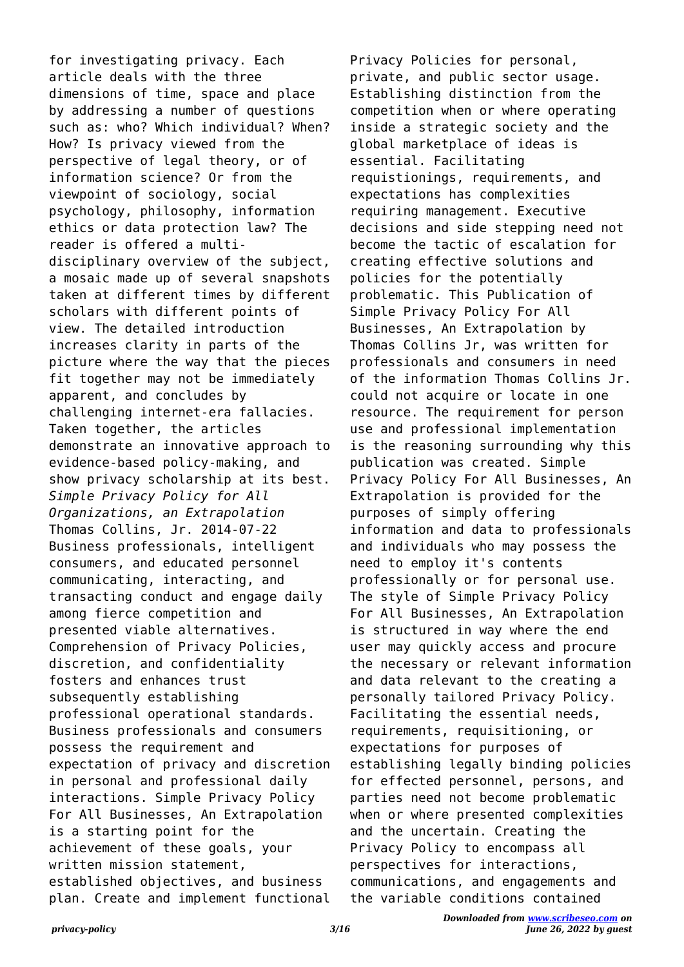for investigating privacy. Each article deals with the three dimensions of time, space and place by addressing a number of questions such as: who? Which individual? When? How? Is privacy viewed from the perspective of legal theory, or of information science? Or from the viewpoint of sociology, social psychology, philosophy, information ethics or data protection law? The reader is offered a multidisciplinary overview of the subject, a mosaic made up of several snapshots taken at different times by different scholars with different points of view. The detailed introduction increases clarity in parts of the picture where the way that the pieces fit together may not be immediately apparent, and concludes by challenging internet-era fallacies. Taken together, the articles demonstrate an innovative approach to evidence-based policy-making, and show privacy scholarship at its best. *Simple Privacy Policy for All Organizations, an Extrapolation* Thomas Collins, Jr. 2014-07-22 Business professionals, intelligent consumers, and educated personnel communicating, interacting, and transacting conduct and engage daily among fierce competition and presented viable alternatives. Comprehension of Privacy Policies, discretion, and confidentiality fosters and enhances trust subsequently establishing professional operational standards. Business professionals and consumers possess the requirement and expectation of privacy and discretion in personal and professional daily interactions. Simple Privacy Policy For All Businesses, An Extrapolation is a starting point for the achievement of these goals, your written mission statement, established objectives, and business plan. Create and implement functional

Privacy Policies for personal, private, and public sector usage. Establishing distinction from the competition when or where operating inside a strategic society and the global marketplace of ideas is essential. Facilitating requistionings, requirements, and expectations has complexities requiring management. Executive decisions and side stepping need not become the tactic of escalation for creating effective solutions and policies for the potentially problematic. This Publication of Simple Privacy Policy For All Businesses, An Extrapolation by Thomas Collins Jr, was written for professionals and consumers in need of the information Thomas Collins Jr. could not acquire or locate in one resource. The requirement for person use and professional implementation is the reasoning surrounding why this publication was created. Simple Privacy Policy For All Businesses, An Extrapolation is provided for the purposes of simply offering information and data to professionals and individuals who may possess the need to employ it's contents professionally or for personal use. The style of Simple Privacy Policy For All Businesses, An Extrapolation is structured in way where the end user may quickly access and procure the necessary or relevant information and data relevant to the creating a personally tailored Privacy Policy. Facilitating the essential needs, requirements, requisitioning, or expectations for purposes of establishing legally binding policies for effected personnel, persons, and parties need not become problematic when or where presented complexities and the uncertain. Creating the Privacy Policy to encompass all perspectives for interactions, communications, and engagements and the variable conditions contained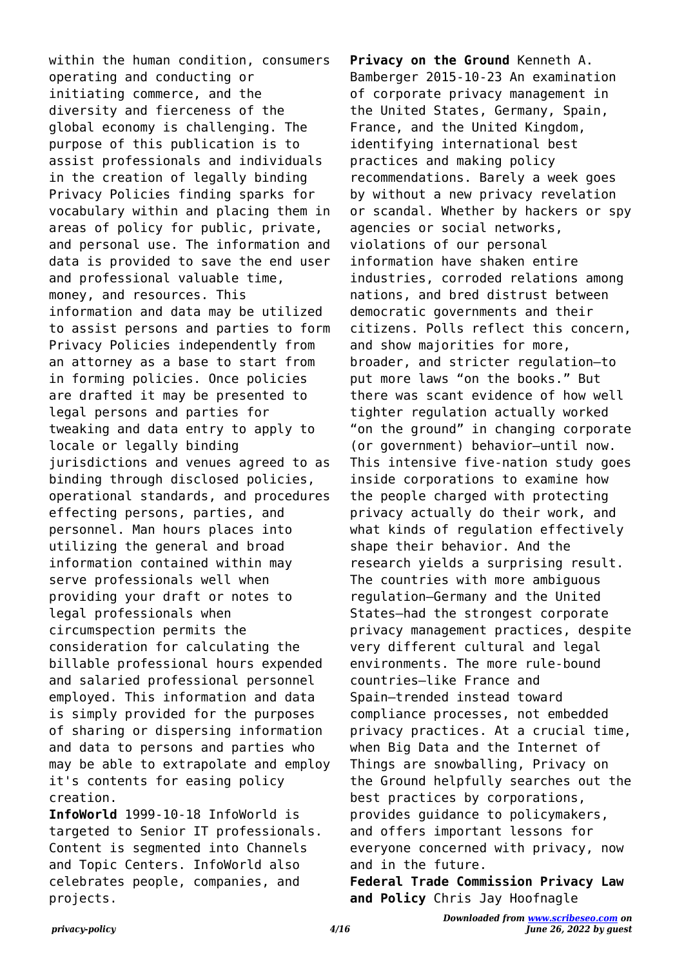within the human condition, consumers operating and conducting or initiating commerce, and the diversity and fierceness of the global economy is challenging. The purpose of this publication is to assist professionals and individuals in the creation of legally binding Privacy Policies finding sparks for vocabulary within and placing them in areas of policy for public, private, and personal use. The information and data is provided to save the end user and professional valuable time, money, and resources. This information and data may be utilized to assist persons and parties to form Privacy Policies independently from an attorney as a base to start from in forming policies. Once policies are drafted it may be presented to legal persons and parties for tweaking and data entry to apply to locale or legally binding jurisdictions and venues agreed to as binding through disclosed policies, operational standards, and procedures effecting persons, parties, and personnel. Man hours places into utilizing the general and broad information contained within may serve professionals well when providing your draft or notes to legal professionals when circumspection permits the consideration for calculating the billable professional hours expended and salaried professional personnel employed. This information and data is simply provided for the purposes of sharing or dispersing information and data to persons and parties who may be able to extrapolate and employ it's contents for easing policy creation.

**InfoWorld** 1999-10-18 InfoWorld is targeted to Senior IT professionals. Content is segmented into Channels and Topic Centers. InfoWorld also celebrates people, companies, and projects.

**Privacy on the Ground** Kenneth A. Bamberger 2015-10-23 An examination of corporate privacy management in the United States, Germany, Spain, France, and the United Kingdom, identifying international best practices and making policy recommendations. Barely a week goes by without a new privacy revelation or scandal. Whether by hackers or spy agencies or social networks, violations of our personal information have shaken entire industries, corroded relations among nations, and bred distrust between democratic governments and their citizens. Polls reflect this concern, and show majorities for more, broader, and stricter regulation—to put more laws "on the books." But there was scant evidence of how well tighter regulation actually worked "on the ground" in changing corporate (or government) behavior—until now. This intensive five-nation study goes inside corporations to examine how the people charged with protecting privacy actually do their work, and what kinds of regulation effectively shape their behavior. And the research yields a surprising result. The countries with more ambiguous regulation—Germany and the United States—had the strongest corporate privacy management practices, despite very different cultural and legal environments. The more rule-bound countries—like France and Spain—trended instead toward compliance processes, not embedded privacy practices. At a crucial time, when Big Data and the Internet of Things are snowballing, Privacy on the Ground helpfully searches out the best practices by corporations, provides guidance to policymakers, and offers important lessons for everyone concerned with privacy, now and in the future.

**Federal Trade Commission Privacy Law and Policy** Chris Jay Hoofnagle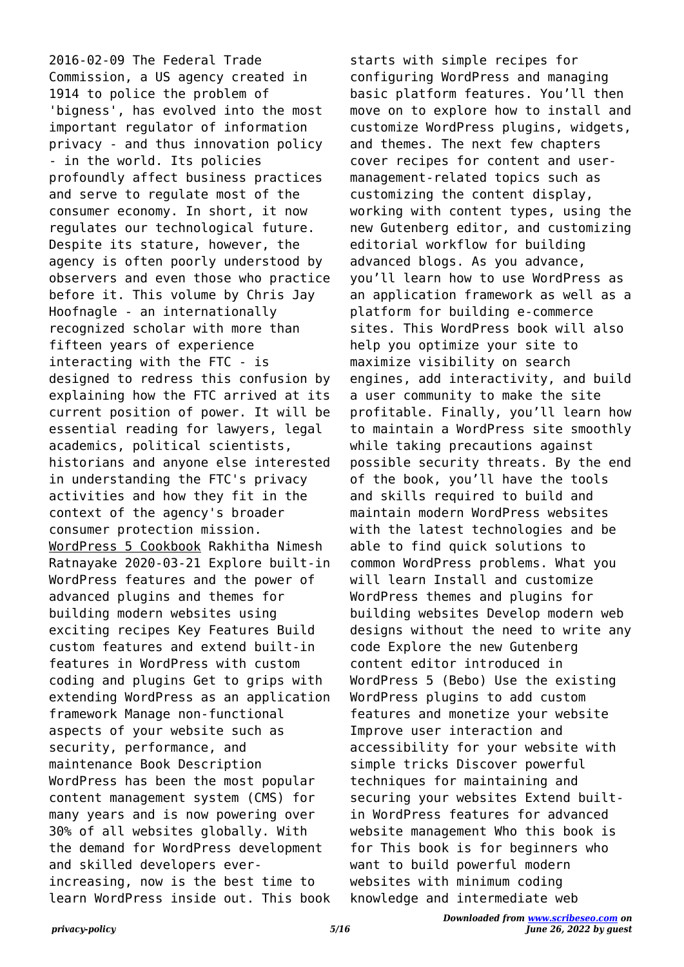2016-02-09 The Federal Trade Commission, a US agency created in 1914 to police the problem of 'bigness', has evolved into the most important regulator of information privacy - and thus innovation policy - in the world. Its policies profoundly affect business practices and serve to regulate most of the consumer economy. In short, it now regulates our technological future. Despite its stature, however, the agency is often poorly understood by observers and even those who practice before it. This volume by Chris Jay Hoofnagle - an internationally recognized scholar with more than fifteen years of experience interacting with the FTC - is designed to redress this confusion by explaining how the FTC arrived at its current position of power. It will be essential reading for lawyers, legal academics, political scientists, historians and anyone else interested in understanding the FTC's privacy activities and how they fit in the context of the agency's broader consumer protection mission. WordPress 5 Cookbook Rakhitha Nimesh Ratnayake 2020-03-21 Explore built-in WordPress features and the power of advanced plugins and themes for building modern websites using exciting recipes Key Features Build custom features and extend built-in features in WordPress with custom coding and plugins Get to grips with extending WordPress as an application framework Manage non-functional aspects of your website such as security, performance, and maintenance Book Description WordPress has been the most popular content management system (CMS) for many years and is now powering over 30% of all websites globally. With the demand for WordPress development and skilled developers everincreasing, now is the best time to learn WordPress inside out. This book

starts with simple recipes for configuring WordPress and managing basic platform features. You'll then move on to explore how to install and customize WordPress plugins, widgets, and themes. The next few chapters cover recipes for content and usermanagement-related topics such as customizing the content display, working with content types, using the new Gutenberg editor, and customizing editorial workflow for building advanced blogs. As you advance, you'll learn how to use WordPress as an application framework as well as a platform for building e-commerce sites. This WordPress book will also help you optimize your site to maximize visibility on search engines, add interactivity, and build a user community to make the site profitable. Finally, you'll learn how to maintain a WordPress site smoothly while taking precautions against possible security threats. By the end of the book, you'll have the tools and skills required to build and maintain modern WordPress websites with the latest technologies and be able to find quick solutions to common WordPress problems. What you will learn Install and customize WordPress themes and plugins for building websites Develop modern web designs without the need to write any code Explore the new Gutenberg content editor introduced in WordPress 5 (Bebo) Use the existing WordPress plugins to add custom features and monetize your website Improve user interaction and accessibility for your website with simple tricks Discover powerful techniques for maintaining and securing your websites Extend builtin WordPress features for advanced website management Who this book is for This book is for beginners who want to build powerful modern websites with minimum coding knowledge and intermediate web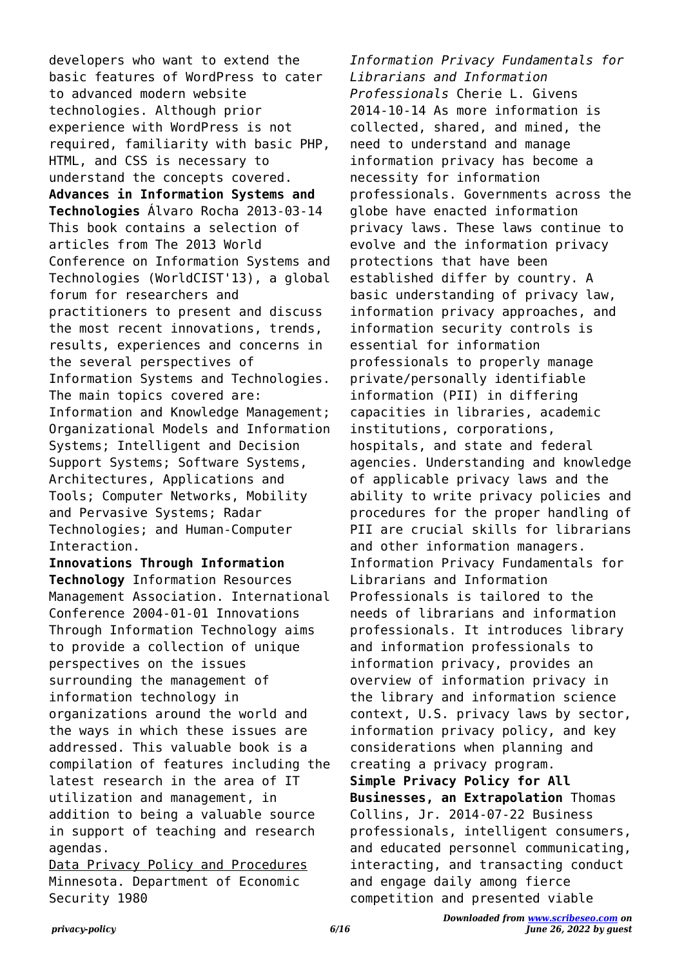developers who want to extend the basic features of WordPress to cater to advanced modern website technologies. Although prior experience with WordPress is not required, familiarity with basic PHP, HTML, and CSS is necessary to understand the concepts covered. **Advances in Information Systems and Technologies** Álvaro Rocha 2013-03-14 This book contains a selection of articles from The 2013 World Conference on Information Systems and Technologies (WorldCIST'13), a global forum for researchers and practitioners to present and discuss the most recent innovations, trends, results, experiences and concerns in the several perspectives of Information Systems and Technologies. The main topics covered are: Information and Knowledge Management; Organizational Models and Information Systems; Intelligent and Decision Support Systems; Software Systems, Architectures, Applications and Tools; Computer Networks, Mobility and Pervasive Systems; Radar Technologies; and Human-Computer Interaction.

**Innovations Through Information Technology** Information Resources Management Association. International Conference 2004-01-01 Innovations Through Information Technology aims to provide a collection of unique perspectives on the issues surrounding the management of information technology in organizations around the world and the ways in which these issues are addressed. This valuable book is a compilation of features including the latest research in the area of IT utilization and management, in addition to being a valuable source in support of teaching and research agendas.

Data Privacy Policy and Procedures Minnesota. Department of Economic Security 1980

*Information Privacy Fundamentals for Librarians and Information Professionals* Cherie L. Givens 2014-10-14 As more information is collected, shared, and mined, the need to understand and manage information privacy has become a necessity for information professionals. Governments across the globe have enacted information privacy laws. These laws continue to evolve and the information privacy protections that have been established differ by country. A basic understanding of privacy law, information privacy approaches, and information security controls is essential for information professionals to properly manage private/personally identifiable information (PII) in differing capacities in libraries, academic institutions, corporations, hospitals, and state and federal agencies. Understanding and knowledge of applicable privacy laws and the ability to write privacy policies and procedures for the proper handling of PII are crucial skills for librarians and other information managers. Information Privacy Fundamentals for Librarians and Information Professionals is tailored to the needs of librarians and information professionals. It introduces library and information professionals to information privacy, provides an overview of information privacy in the library and information science context, U.S. privacy laws by sector, information privacy policy, and key considerations when planning and creating a privacy program. **Simple Privacy Policy for All Businesses, an Extrapolation** Thomas Collins, Jr. 2014-07-22 Business professionals, intelligent consumers, and educated personnel communicating, interacting, and transacting conduct and engage daily among fierce competition and presented viable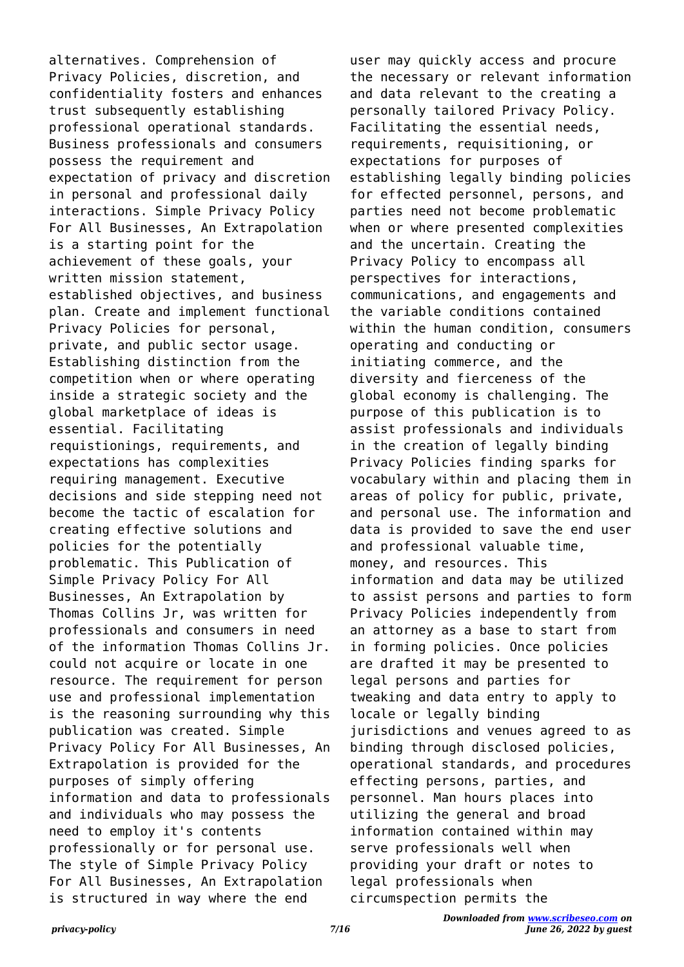alternatives. Comprehension of Privacy Policies, discretion, and confidentiality fosters and enhances trust subsequently establishing professional operational standards. Business professionals and consumers possess the requirement and expectation of privacy and discretion in personal and professional daily interactions. Simple Privacy Policy For All Businesses, An Extrapolation is a starting point for the achievement of these goals, your written mission statement, established objectives, and business plan. Create and implement functional Privacy Policies for personal, private, and public sector usage. Establishing distinction from the competition when or where operating inside a strategic society and the global marketplace of ideas is essential. Facilitating requistionings, requirements, and expectations has complexities requiring management. Executive decisions and side stepping need not become the tactic of escalation for creating effective solutions and policies for the potentially problematic. This Publication of Simple Privacy Policy For All Businesses, An Extrapolation by Thomas Collins Jr, was written for professionals and consumers in need of the information Thomas Collins Jr. could not acquire or locate in one resource. The requirement for person use and professional implementation is the reasoning surrounding why this publication was created. Simple Privacy Policy For All Businesses, An Extrapolation is provided for the purposes of simply offering information and data to professionals and individuals who may possess the need to employ it's contents professionally or for personal use. The style of Simple Privacy Policy For All Businesses, An Extrapolation is structured in way where the end

user may quickly access and procure the necessary or relevant information and data relevant to the creating a personally tailored Privacy Policy. Facilitating the essential needs, requirements, requisitioning, or expectations for purposes of establishing legally binding policies for effected personnel, persons, and parties need not become problematic when or where presented complexities and the uncertain. Creating the Privacy Policy to encompass all perspectives for interactions, communications, and engagements and the variable conditions contained within the human condition, consumers operating and conducting or initiating commerce, and the diversity and fierceness of the global economy is challenging. The purpose of this publication is to assist professionals and individuals in the creation of legally binding Privacy Policies finding sparks for vocabulary within and placing them in areas of policy for public, private, and personal use. The information and data is provided to save the end user and professional valuable time, money, and resources. This information and data may be utilized to assist persons and parties to form Privacy Policies independently from an attorney as a base to start from in forming policies. Once policies are drafted it may be presented to legal persons and parties for tweaking and data entry to apply to locale or legally binding jurisdictions and venues agreed to as binding through disclosed policies, operational standards, and procedures effecting persons, parties, and personnel. Man hours places into utilizing the general and broad information contained within may serve professionals well when providing your draft or notes to legal professionals when circumspection permits the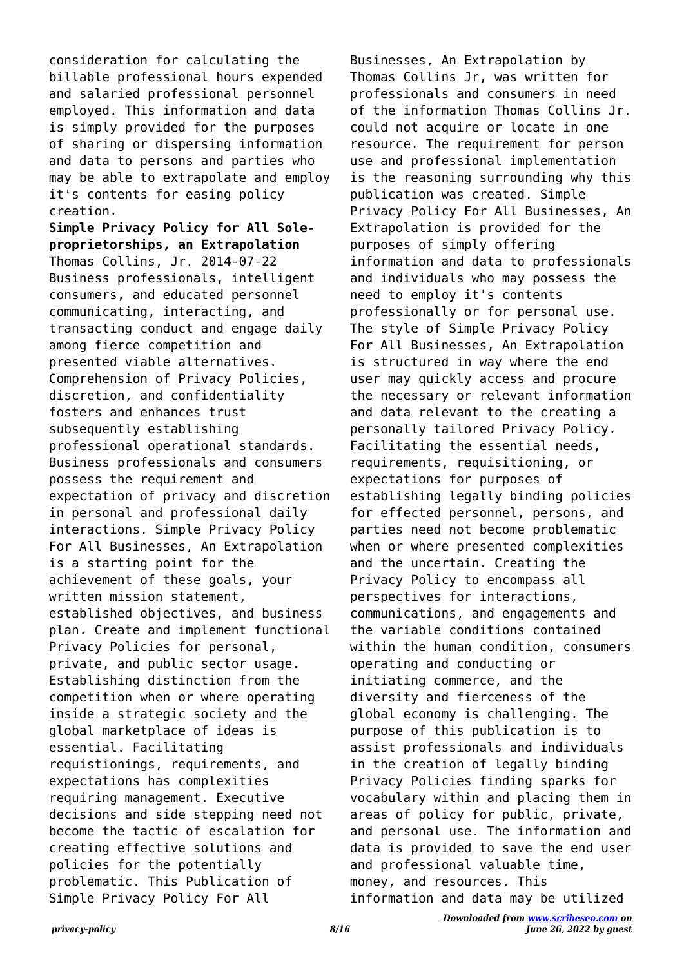consideration for calculating the billable professional hours expended and salaried professional personnel employed. This information and data is simply provided for the purposes of sharing or dispersing information and data to persons and parties who may be able to extrapolate and employ it's contents for easing policy creation.

**Simple Privacy Policy for All Soleproprietorships, an Extrapolation** Thomas Collins, Jr. 2014-07-22 Business professionals, intelligent consumers, and educated personnel communicating, interacting, and transacting conduct and engage daily among fierce competition and presented viable alternatives. Comprehension of Privacy Policies, discretion, and confidentiality fosters and enhances trust subsequently establishing professional operational standards. Business professionals and consumers possess the requirement and expectation of privacy and discretion in personal and professional daily interactions. Simple Privacy Policy For All Businesses, An Extrapolation is a starting point for the achievement of these goals, your written mission statement, established objectives, and business plan. Create and implement functional Privacy Policies for personal, private, and public sector usage. Establishing distinction from the competition when or where operating inside a strategic society and the global marketplace of ideas is essential. Facilitating requistionings, requirements, and expectations has complexities requiring management. Executive decisions and side stepping need not become the tactic of escalation for creating effective solutions and policies for the potentially problematic. This Publication of Simple Privacy Policy For All

Businesses, An Extrapolation by Thomas Collins Jr, was written for professionals and consumers in need of the information Thomas Collins Jr. could not acquire or locate in one resource. The requirement for person use and professional implementation is the reasoning surrounding why this publication was created. Simple Privacy Policy For All Businesses, An Extrapolation is provided for the purposes of simply offering information and data to professionals and individuals who may possess the need to employ it's contents professionally or for personal use. The style of Simple Privacy Policy For All Businesses, An Extrapolation is structured in way where the end user may quickly access and procure the necessary or relevant information and data relevant to the creating a personally tailored Privacy Policy. Facilitating the essential needs, requirements, requisitioning, or expectations for purposes of establishing legally binding policies for effected personnel, persons, and parties need not become problematic when or where presented complexities and the uncertain. Creating the Privacy Policy to encompass all perspectives for interactions, communications, and engagements and the variable conditions contained within the human condition, consumers operating and conducting or initiating commerce, and the diversity and fierceness of the global economy is challenging. The purpose of this publication is to assist professionals and individuals in the creation of legally binding Privacy Policies finding sparks for vocabulary within and placing them in areas of policy for public, private, and personal use. The information and data is provided to save the end user and professional valuable time, money, and resources. This information and data may be utilized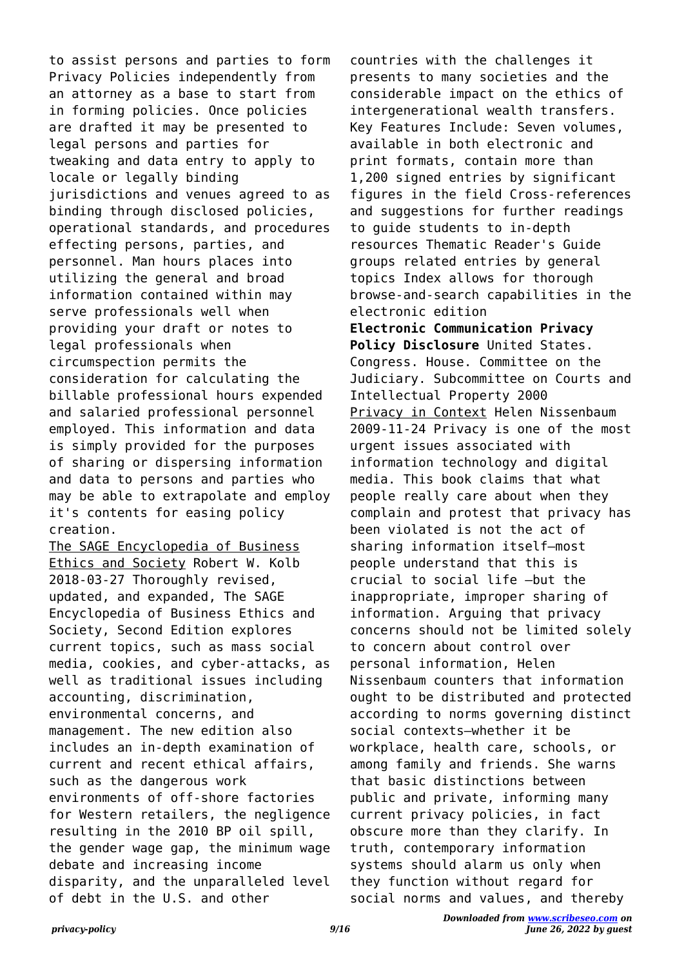to assist persons and parties to form Privacy Policies independently from an attorney as a base to start from in forming policies. Once policies are drafted it may be presented to legal persons and parties for tweaking and data entry to apply to locale or legally binding jurisdictions and venues agreed to as binding through disclosed policies, operational standards, and procedures effecting persons, parties, and personnel. Man hours places into utilizing the general and broad information contained within may serve professionals well when providing your draft or notes to legal professionals when circumspection permits the consideration for calculating the billable professional hours expended and salaried professional personnel employed. This information and data is simply provided for the purposes of sharing or dispersing information and data to persons and parties who may be able to extrapolate and employ it's contents for easing policy creation.

The SAGE Encyclopedia of Business Ethics and Society Robert W. Kolb 2018-03-27 Thoroughly revised, updated, and expanded, The SAGE Encyclopedia of Business Ethics and Society, Second Edition explores current topics, such as mass social media, cookies, and cyber-attacks, as well as traditional issues including accounting, discrimination, environmental concerns, and management. The new edition also includes an in-depth examination of current and recent ethical affairs, such as the dangerous work environments of off-shore factories for Western retailers, the negligence resulting in the 2010 BP oil spill, the gender wage gap, the minimum wage debate and increasing income disparity, and the unparalleled level of debt in the U.S. and other

countries with the challenges it presents to many societies and the considerable impact on the ethics of intergenerational wealth transfers. Key Features Include: Seven volumes, available in both electronic and print formats, contain more than 1,200 signed entries by significant figures in the field Cross-references and suggestions for further readings to guide students to in-depth resources Thematic Reader's Guide groups related entries by general topics Index allows for thorough browse-and-search capabilities in the electronic edition **Electronic Communication Privacy Policy Disclosure** United States. Congress. House. Committee on the Judiciary. Subcommittee on Courts and Intellectual Property 2000 Privacy in Context Helen Nissenbaum 2009-11-24 Privacy is one of the most urgent issues associated with information technology and digital media. This book claims that what people really care about when they complain and protest that privacy has been violated is not the act of sharing information itself—most people understand that this is crucial to social life —but the inappropriate, improper sharing of information. Arguing that privacy concerns should not be limited solely to concern about control over personal information, Helen Nissenbaum counters that information ought to be distributed and protected according to norms governing distinct social contexts—whether it be workplace, health care, schools, or among family and friends. She warns that basic distinctions between public and private, informing many current privacy policies, in fact obscure more than they clarify. In truth, contemporary information systems should alarm us only when they function without regard for social norms and values, and thereby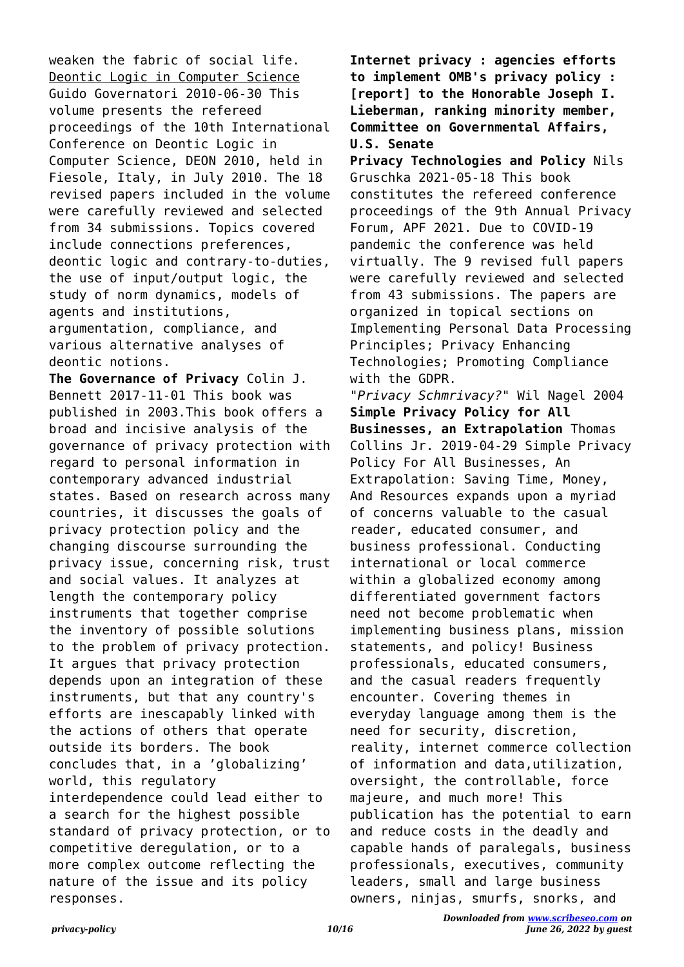weaken the fabric of social life. Deontic Logic in Computer Science Guido Governatori 2010-06-30 This volume presents the refereed proceedings of the 10th International Conference on Deontic Logic in Computer Science, DEON 2010, held in Fiesole, Italy, in July 2010. The 18 revised papers included in the volume were carefully reviewed and selected from 34 submissions. Topics covered include connections preferences, deontic logic and contrary-to-duties, the use of input/output logic, the study of norm dynamics, models of agents and institutions, argumentation, compliance, and various alternative analyses of deontic notions.

**The Governance of Privacy** Colin J. Bennett 2017-11-01 This book was published in 2003.This book offers a broad and incisive analysis of the governance of privacy protection with regard to personal information in contemporary advanced industrial states. Based on research across many countries, it discusses the goals of privacy protection policy and the changing discourse surrounding the privacy issue, concerning risk, trust and social values. It analyzes at length the contemporary policy instruments that together comprise the inventory of possible solutions to the problem of privacy protection. It argues that privacy protection depends upon an integration of these instruments, but that any country's efforts are inescapably linked with the actions of others that operate outside its borders. The book concludes that, in a 'globalizing' world, this regulatory interdependence could lead either to a search for the highest possible standard of privacy protection, or to competitive deregulation, or to a more complex outcome reflecting the nature of the issue and its policy responses.

**Internet privacy : agencies efforts to implement OMB's privacy policy : [report] to the Honorable Joseph I. Lieberman, ranking minority member, Committee on Governmental Affairs, U.S. Senate**

**Privacy Technologies and Policy** Nils Gruschka 2021-05-18 This book constitutes the refereed conference proceedings of the 9th Annual Privacy Forum, APF 2021. Due to COVID-19 pandemic the conference was held virtually. The 9 revised full papers were carefully reviewed and selected from 43 submissions. The papers are organized in topical sections on Implementing Personal Data Processing Principles; Privacy Enhancing Technologies; Promoting Compliance with the GDPR.

*"Privacy Schmrivacy?"* Wil Nagel 2004 **Simple Privacy Policy for All Businesses, an Extrapolation** Thomas Collins Jr. 2019-04-29 Simple Privacy Policy For All Businesses, An Extrapolation: Saving Time, Money, And Resources expands upon a myriad of concerns valuable to the casual reader, educated consumer, and business professional. Conducting international or local commerce within a globalized economy among differentiated government factors need not become problematic when implementing business plans, mission statements, and policy! Business professionals, educated consumers, and the casual readers frequently encounter. Covering themes in everyday language among them is the need for security, discretion, reality, internet commerce collection of information and data,utilization, oversight, the controllable, force majeure, and much more! This publication has the potential to earn and reduce costs in the deadly and capable hands of paralegals, business professionals, executives, community leaders, small and large business owners, ninjas, smurfs, snorks, and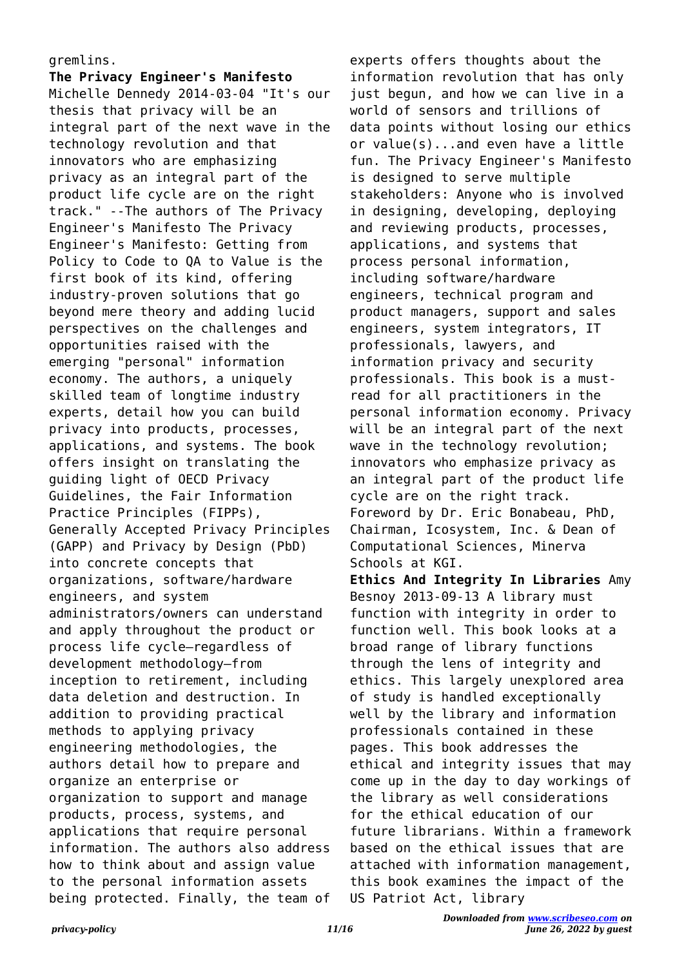## gremlins.

**The Privacy Engineer's Manifesto** Michelle Dennedy 2014-03-04 "It's our thesis that privacy will be an integral part of the next wave in the technology revolution and that innovators who are emphasizing privacy as an integral part of the product life cycle are on the right track." --The authors of The Privacy Engineer's Manifesto The Privacy Engineer's Manifesto: Getting from Policy to Code to QA to Value is the first book of its kind, offering industry-proven solutions that go beyond mere theory and adding lucid perspectives on the challenges and opportunities raised with the emerging "personal" information economy. The authors, a uniquely skilled team of longtime industry experts, detail how you can build privacy into products, processes, applications, and systems. The book offers insight on translating the guiding light of OECD Privacy Guidelines, the Fair Information Practice Principles (FIPPs), Generally Accepted Privacy Principles (GAPP) and Privacy by Design (PbD) into concrete concepts that organizations, software/hardware engineers, and system administrators/owners can understand and apply throughout the product or process life cycle—regardless of development methodology—from inception to retirement, including data deletion and destruction. In addition to providing practical methods to applying privacy engineering methodologies, the authors detail how to prepare and organize an enterprise or organization to support and manage products, process, systems, and applications that require personal information. The authors also address how to think about and assign value to the personal information assets being protected. Finally, the team of

experts offers thoughts about the information revolution that has only just begun, and how we can live in a world of sensors and trillions of data points without losing our ethics or value(s)...and even have a little fun. The Privacy Engineer's Manifesto is designed to serve multiple stakeholders: Anyone who is involved in designing, developing, deploying and reviewing products, processes, applications, and systems that process personal information, including software/hardware engineers, technical program and product managers, support and sales engineers, system integrators, IT professionals, lawyers, and information privacy and security professionals. This book is a mustread for all practitioners in the personal information economy. Privacy will be an integral part of the next wave in the technology revolution; innovators who emphasize privacy as an integral part of the product life cycle are on the right track. Foreword by Dr. Eric Bonabeau, PhD, Chairman, Icosystem, Inc. & Dean of Computational Sciences, Minerva Schools at KGI.

**Ethics And Integrity In Libraries** Amy Besnoy 2013-09-13 A library must function with integrity in order to function well. This book looks at a broad range of library functions through the lens of integrity and ethics. This largely unexplored area of study is handled exceptionally well by the library and information professionals contained in these pages. This book addresses the ethical and integrity issues that may come up in the day to day workings of the library as well considerations for the ethical education of our future librarians. Within a framework based on the ethical issues that are attached with information management, this book examines the impact of the US Patriot Act, library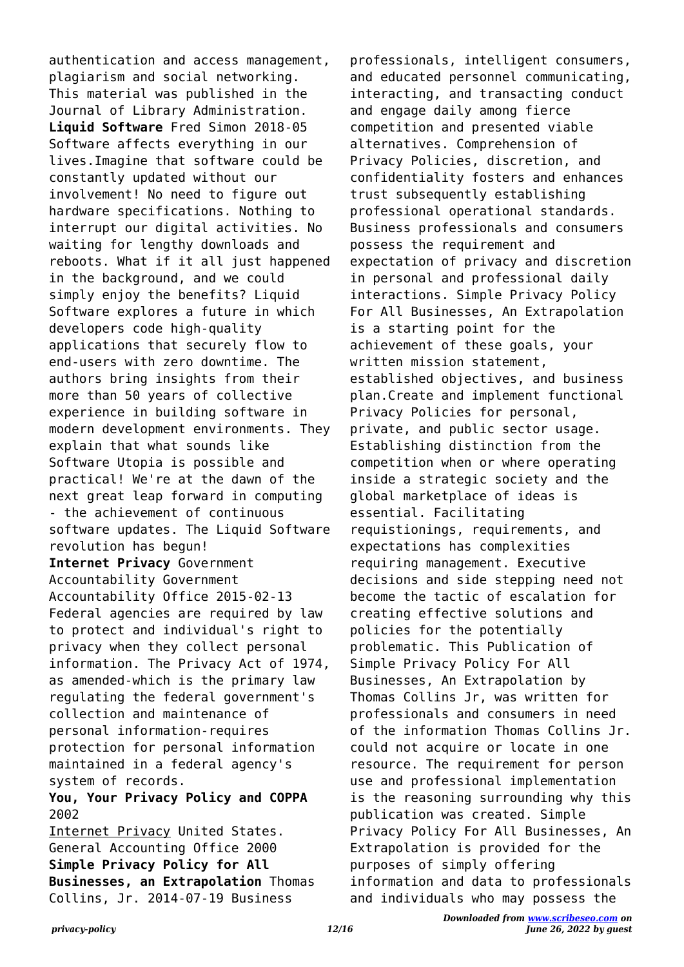authentication and access management, plagiarism and social networking. This material was published in the Journal of Library Administration. **Liquid Software** Fred Simon 2018-05 Software affects everything in our lives.Imagine that software could be constantly updated without our involvement! No need to figure out hardware specifications. Nothing to interrupt our digital activities. No waiting for lengthy downloads and reboots. What if it all just happened in the background, and we could simply enjoy the benefits? Liquid Software explores a future in which developers code high-quality applications that securely flow to end-users with zero downtime. The authors bring insights from their more than 50 years of collective experience in building software in modern development environments. They explain that what sounds like Software Utopia is possible and practical! We're at the dawn of the next great leap forward in computing - the achievement of continuous software updates. The Liquid Software revolution has begun! **Internet Privacy** Government Accountability Government Accountability Office 2015-02-13 Federal agencies are required by law to protect and individual's right to privacy when they collect personal information. The Privacy Act of 1974, as amended-which is the primary law regulating the federal government's collection and maintenance of personal information-requires protection for personal information maintained in a federal agency's system of records. **You, Your Privacy Policy and COPPA**

## 2002

Internet Privacy United States. General Accounting Office 2000 **Simple Privacy Policy for All Businesses, an Extrapolation** Thomas Collins, Jr. 2014-07-19 Business

professionals, intelligent consumers, and educated personnel communicating, interacting, and transacting conduct and engage daily among fierce competition and presented viable alternatives. Comprehension of Privacy Policies, discretion, and confidentiality fosters and enhances trust subsequently establishing professional operational standards. Business professionals and consumers possess the requirement and expectation of privacy and discretion in personal and professional daily interactions. Simple Privacy Policy For All Businesses, An Extrapolation is a starting point for the achievement of these goals, your written mission statement, established objectives, and business plan.Create and implement functional Privacy Policies for personal, private, and public sector usage. Establishing distinction from the competition when or where operating inside a strategic society and the global marketplace of ideas is essential. Facilitating requistionings, requirements, and expectations has complexities requiring management. Executive decisions and side stepping need not become the tactic of escalation for creating effective solutions and policies for the potentially problematic. This Publication of Simple Privacy Policy For All Businesses, An Extrapolation by Thomas Collins Jr, was written for professionals and consumers in need of the information Thomas Collins Jr. could not acquire or locate in one resource. The requirement for person use and professional implementation is the reasoning surrounding why this publication was created. Simple Privacy Policy For All Businesses, An Extrapolation is provided for the purposes of simply offering information and data to professionals and individuals who may possess the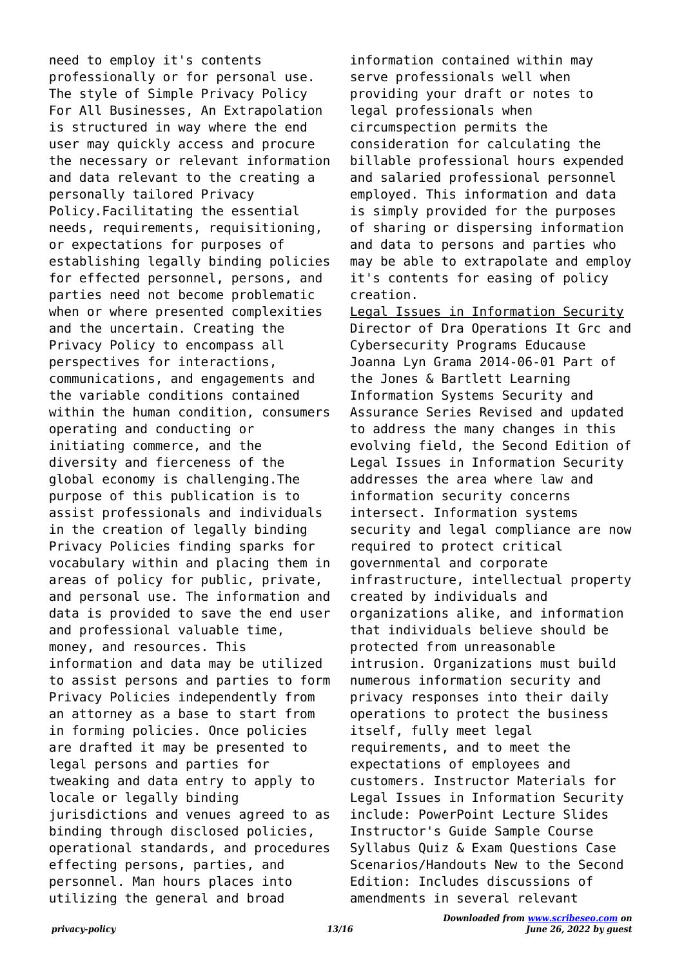need to employ it's contents professionally or for personal use. The style of Simple Privacy Policy For All Businesses, An Extrapolation is structured in way where the end user may quickly access and procure the necessary or relevant information and data relevant to the creating a personally tailored Privacy Policy.Facilitating the essential needs, requirements, requisitioning, or expectations for purposes of establishing legally binding policies for effected personnel, persons, and parties need not become problematic when or where presented complexities and the uncertain. Creating the Privacy Policy to encompass all perspectives for interactions, communications, and engagements and the variable conditions contained within the human condition, consumers operating and conducting or initiating commerce, and the diversity and fierceness of the global economy is challenging.The purpose of this publication is to assist professionals and individuals in the creation of legally binding Privacy Policies finding sparks for vocabulary within and placing them in areas of policy for public, private, and personal use. The information and data is provided to save the end user and professional valuable time, money, and resources. This information and data may be utilized to assist persons and parties to form Privacy Policies independently from an attorney as a base to start from in forming policies. Once policies are drafted it may be presented to legal persons and parties for tweaking and data entry to apply to locale or legally binding jurisdictions and venues agreed to as binding through disclosed policies, operational standards, and procedures effecting persons, parties, and personnel. Man hours places into utilizing the general and broad

information contained within may serve professionals well when providing your draft or notes to legal professionals when circumspection permits the consideration for calculating the billable professional hours expended and salaried professional personnel employed. This information and data is simply provided for the purposes of sharing or dispersing information and data to persons and parties who may be able to extrapolate and employ it's contents for easing of policy creation.

Legal Issues in Information Security Director of Dra Operations It Grc and Cybersecurity Programs Educause Joanna Lyn Grama 2014-06-01 Part of the Jones & Bartlett Learning Information Systems Security and Assurance Series Revised and updated to address the many changes in this evolving field, the Second Edition of Legal Issues in Information Security addresses the area where law and information security concerns intersect. Information systems security and legal compliance are now required to protect critical governmental and corporate infrastructure, intellectual property created by individuals and organizations alike, and information that individuals believe should be protected from unreasonable intrusion. Organizations must build numerous information security and privacy responses into their daily operations to protect the business itself, fully meet legal requirements, and to meet the expectations of employees and customers. Instructor Materials for Legal Issues in Information Security include: PowerPoint Lecture Slides Instructor's Guide Sample Course Syllabus Quiz & Exam Questions Case Scenarios/Handouts New to the Second Edition: Includes discussions of amendments in several relevant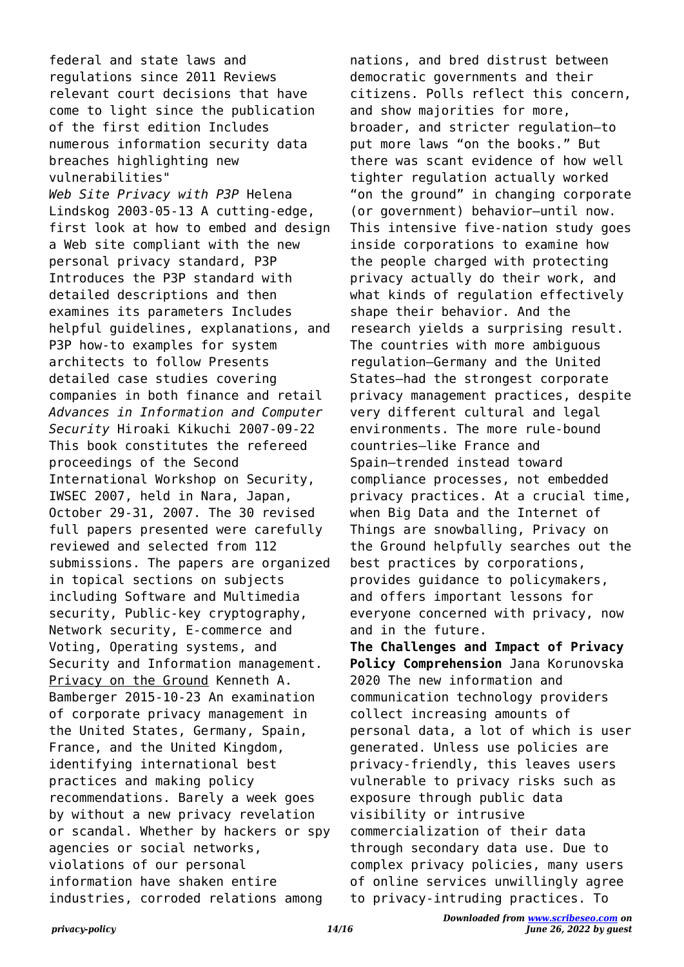federal and state laws and regulations since 2011 Reviews relevant court decisions that have come to light since the publication of the first edition Includes numerous information security data breaches highlighting new vulnerabilities" *Web Site Privacy with P3P* Helena Lindskog 2003-05-13 A cutting-edge, first look at how to embed and design a Web site compliant with the new personal privacy standard, P3P Introduces the P3P standard with detailed descriptions and then examines its parameters Includes helpful guidelines, explanations, and P3P how-to examples for system architects to follow Presents detailed case studies covering companies in both finance and retail *Advances in Information and Computer Security* Hiroaki Kikuchi 2007-09-22 This book constitutes the refereed proceedings of the Second International Workshop on Security, IWSEC 2007, held in Nara, Japan, October 29-31, 2007. The 30 revised full papers presented were carefully reviewed and selected from 112 submissions. The papers are organized in topical sections on subjects including Software and Multimedia security, Public-key cryptography, Network security, E-commerce and Voting, Operating systems, and Security and Information management. Privacy on the Ground Kenneth A. Bamberger 2015-10-23 An examination of corporate privacy management in the United States, Germany, Spain, France, and the United Kingdom, identifying international best practices and making policy recommendations. Barely a week goes by without a new privacy revelation or scandal. Whether by hackers or spy agencies or social networks, violations of our personal information have shaken entire industries, corroded relations among

nations, and bred distrust between democratic governments and their citizens. Polls reflect this concern, and show majorities for more, broader, and stricter regulation—to put more laws "on the books." But there was scant evidence of how well tighter regulation actually worked "on the ground" in changing corporate (or government) behavior—until now. This intensive five-nation study goes inside corporations to examine how the people charged with protecting privacy actually do their work, and what kinds of regulation effectively shape their behavior. And the research yields a surprising result. The countries with more ambiguous regulation—Germany and the United States—had the strongest corporate privacy management practices, despite very different cultural and legal environments. The more rule-bound countries—like France and Spain—trended instead toward compliance processes, not embedded privacy practices. At a crucial time, when Big Data and the Internet of Things are snowballing, Privacy on the Ground helpfully searches out the best practices by corporations, provides guidance to policymakers, and offers important lessons for everyone concerned with privacy, now and in the future. **The Challenges and Impact of Privacy Policy Comprehension** Jana Korunovska

2020 The new information and communication technology providers collect increasing amounts of personal data, a lot of which is user generated. Unless use policies are privacy-friendly, this leaves users vulnerable to privacy risks such as exposure through public data visibility or intrusive commercialization of their data through secondary data use. Due to complex privacy policies, many users of online services unwillingly agree to privacy-intruding practices. To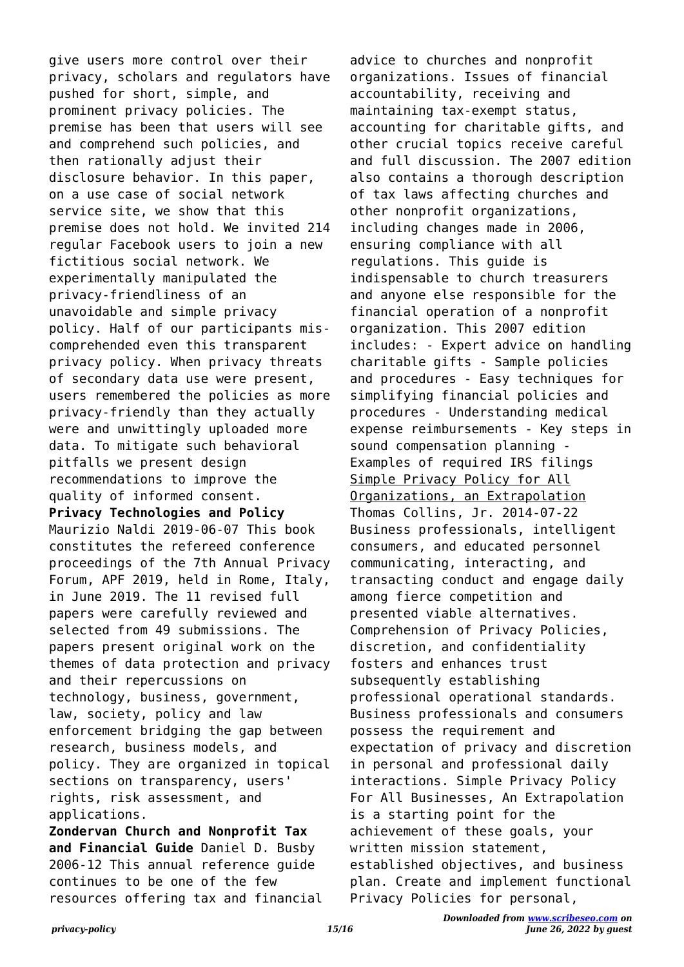give users more control over their privacy, scholars and regulators have pushed for short, simple, and prominent privacy policies. The premise has been that users will see and comprehend such policies, and then rationally adjust their disclosure behavior. In this paper, on a use case of social network service site, we show that this premise does not hold. We invited 214 regular Facebook users to join a new fictitious social network. We experimentally manipulated the privacy-friendliness of an unavoidable and simple privacy policy. Half of our participants miscomprehended even this transparent privacy policy. When privacy threats of secondary data use were present, users remembered the policies as more privacy-friendly than they actually were and unwittingly uploaded more data. To mitigate such behavioral pitfalls we present design recommendations to improve the quality of informed consent. **Privacy Technologies and Policy** Maurizio Naldi 2019-06-07 This book constitutes the refereed conference proceedings of the 7th Annual Privacy Forum, APF 2019, held in Rome, Italy, in June 2019. The 11 revised full papers were carefully reviewed and selected from 49 submissions. The papers present original work on the themes of data protection and privacy and their repercussions on technology, business, government, law, society, policy and law enforcement bridging the gap between research, business models, and policy. They are organized in topical sections on transparency, users' rights, risk assessment, and applications.

**Zondervan Church and Nonprofit Tax and Financial Guide** Daniel D. Busby 2006-12 This annual reference guide continues to be one of the few resources offering tax and financial

advice to churches and nonprofit organizations. Issues of financial accountability, receiving and maintaining tax-exempt status, accounting for charitable gifts, and other crucial topics receive careful and full discussion. The 2007 edition also contains a thorough description of tax laws affecting churches and other nonprofit organizations, including changes made in 2006, ensuring compliance with all regulations. This guide is indispensable to church treasurers and anyone else responsible for the financial operation of a nonprofit organization. This 2007 edition includes: - Expert advice on handling charitable gifts - Sample policies and procedures - Easy techniques for simplifying financial policies and procedures - Understanding medical expense reimbursements - Key steps in sound compensation planning - Examples of required IRS filings Simple Privacy Policy for All Organizations, an Extrapolation Thomas Collins, Jr. 2014-07-22 Business professionals, intelligent consumers, and educated personnel communicating, interacting, and transacting conduct and engage daily among fierce competition and presented viable alternatives. Comprehension of Privacy Policies, discretion, and confidentiality fosters and enhances trust subsequently establishing professional operational standards. Business professionals and consumers possess the requirement and expectation of privacy and discretion in personal and professional daily interactions. Simple Privacy Policy For All Businesses, An Extrapolation is a starting point for the achievement of these goals, your written mission statement, established objectives, and business plan. Create and implement functional Privacy Policies for personal,